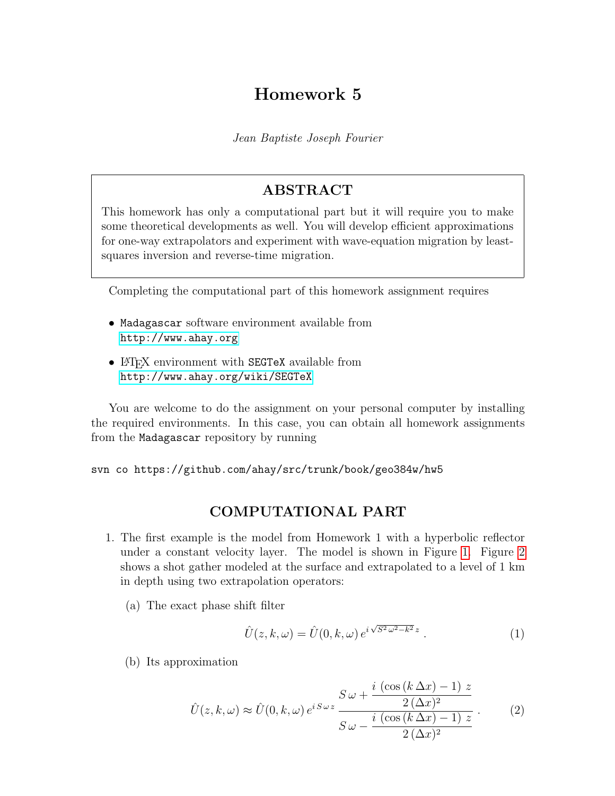## Homework 5

Jean Baptiste Joseph Fourier

## ABSTRACT

This homework has only a computational part but it will require you to make some theoretical developments as well. You will develop efficient approximations for one-way extrapolators and experiment with wave-equation migration by leastsquares inversion and reverse-time migration.

Completing the computational part of this homework assignment requires

- Madagascar software environment available from <http://www.ahay.org>
- LAT<sub>EX</sub> environment with SEGTeX available from <http://www.ahay.org/wiki/SEGTeX>

You are welcome to do the assignment on your personal computer by installing the required environments. In this case, you can obtain all homework assignments from the Madagascar repository by running

svn co https://github.com/ahay/src/trunk/book/geo384w/hw5

## COMPUTATIONAL PART

- 1. The first example is the model from Homework 1 with a hyperbolic reflector under a constant velocity layer. The model is shown in Figure [1.](#page-2-0) Figure [2](#page-3-0) shows a shot gather modeled at the surface and extrapolated to a level of 1 km in depth using two extrapolation operators:
	- (a) The exact phase shift filter

$$
\hat{U}(z,k,\omega) = \hat{U}(0,k,\omega) e^{i\sqrt{S^2\omega^2 - k^2}z}.
$$
\n(1)

(b) Its approximation

<span id="page-0-0"></span>
$$
\hat{U}(z,k,\omega) \approx \hat{U}(0,k,\omega) e^{iS\omega z} \frac{S\omega + \frac{i(\cos(k\Delta x) - 1)z}{2(\Delta x)^2}}{S\omega - \frac{i(\cos(k\Delta x) - 1)z}{2(\Delta x)^2}}.
$$
(2)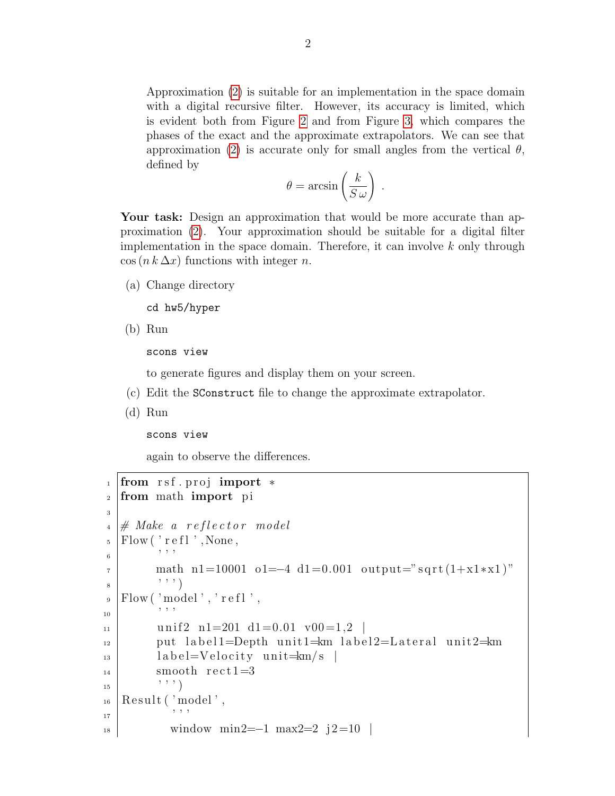Approximation [\(2\)](#page-0-0) is suitable for an implementation in the space domain with a digital recursive filter. However, its accuracy is limited, which is evident both from Figure [2](#page-3-0) and from Figure [3,](#page-3-1) which compares the phases of the exact and the approximate extrapolators. We can see that approximation [\(2\)](#page-0-0) is accurate only for small angles from the vertical  $\theta$ , defined by

$$
\theta = \arcsin\left(\frac{k}{S\,\omega}\right)
$$

.

Your task: Design an approximation that would be more accurate than approximation [\(2\)](#page-0-0). Your approximation should be suitable for a digital filter implementation in the space domain. Therefore, it can involve  $k$  only through  $\cos(n k \Delta x)$  functions with integer n.

(a) Change directory

cd hw5/hyper

(b) Run

scons view

to generate figures and display them on your screen.

- (c) Edit the SConstruct file to change the approximate extrapolator.
- (d) Run

scons view

again to observe the differences.

```
1 from rsf.proj import *
2 from math import pi
3
_4 \ \# \ Make \ a \ reflector \ model_5 | Flow ( ' r e f l ', None,
6 ' ' '
\tau math n1=10001 o1=−4 d1=0.001 output="sqrt(1+x1*x1)"
\begin{array}{c} \begin{array}{c} \end{array} \end{array} \begin{array}{c} \end{array}\mathcal{P} | Flow ( 'model', ' r e fl',
10 ' ' '
_{11} unif2 n1=201 d1=0.01 v00=1,2
_{12} put label1=Depth unit1=km label2=Lateral unit2=km
_{13} label=Velocity unit=km/s_{14} smooth rect1=3
\begin{pmatrix} 15 \end{pmatrix} \begin{pmatrix} 1 \end{pmatrix}_{16} Result ('model',
\begin{array}{c|c|c|c|c} \hline 17 & & & \end{array}_{18} window min2=−1 max2=2 j2=10 |
```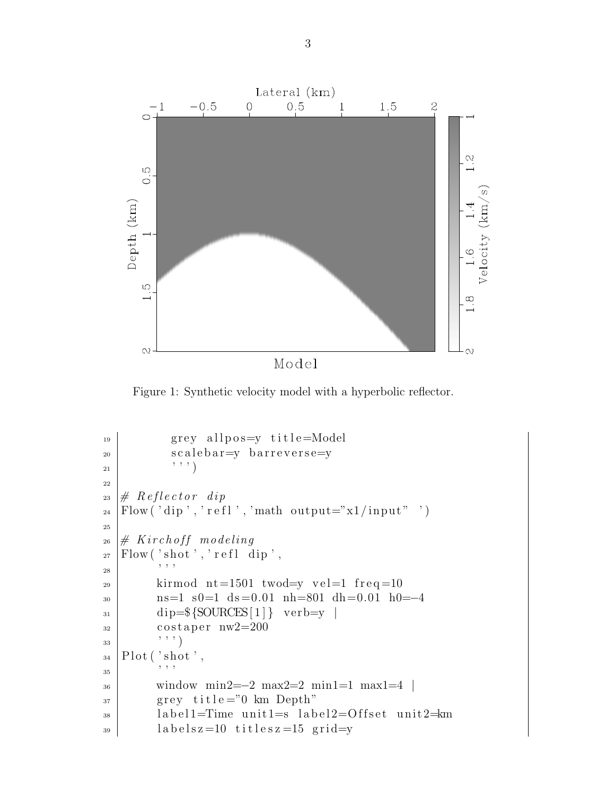

<span id="page-2-0"></span>Figure 1: Synthetic velocity model with a hyperbolic reflector.

```
_{19} grey allpos=y title=Model
20 scalebar=y barreverse=y
\begin{pmatrix} 21 & 1 \end{pmatrix}22
23 \# \nReflection \ndiv \n_{24} |Flow ('dip', 'refl', 'math output="x1/input" ')
25
_{26} # Kirchoff modeling
_{27} Flow ('shot', 'refl dip',
28 ' ' '
_{29} kirmod nt=1501 twod=y vel=1 freq=10
30 ns=1 s0=1 ds =0.01 nh=801 dh=0.01 h0=−4
_{31} dip=\{SOURCES[1]\} verb=y |
32 \text{ costaper } n \text{w2} = 20033 , 7, 7)_{34} Plot ('shot',
\frac{35}{ } \frac{1}{25} \frac{1}{25} \frac{1}{25} \frac{1}{25} \frac{1}{25} \frac{1}{25} \frac{1}{25} \frac{1}{25} \frac{1}{25} \frac{1}{25} \frac{1}{25} \frac{1}{25} \frac{1}{25} \frac{1}{25} \frac{1}{25} \frac{1}{25} \frac{1}{25} \frac{1}{25} \frac{1}{25} \<sup>36</sup> window min2=−2 max2=2 min1=1 max1=4
37 grey title="0 km Depth"
38 | label1=Time unit1=s label2=Offset unit2=km
_{39} labelsz=10 titlesz=15 grid=y
```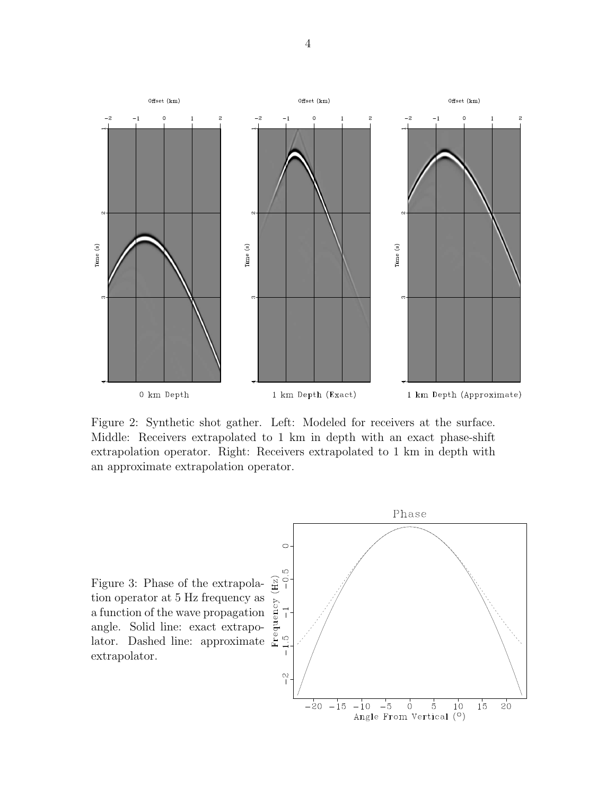

<span id="page-3-0"></span>Figure 2: Synthetic shot gather. Left: Modeled for receivers at the surface. Middle: Receivers extrapolated to 1 km in depth with an exact phase-shift extrapolation operator. Right: Receivers extrapolated to 1 km in depth with an approximate extrapolation operator.

<span id="page-3-1"></span>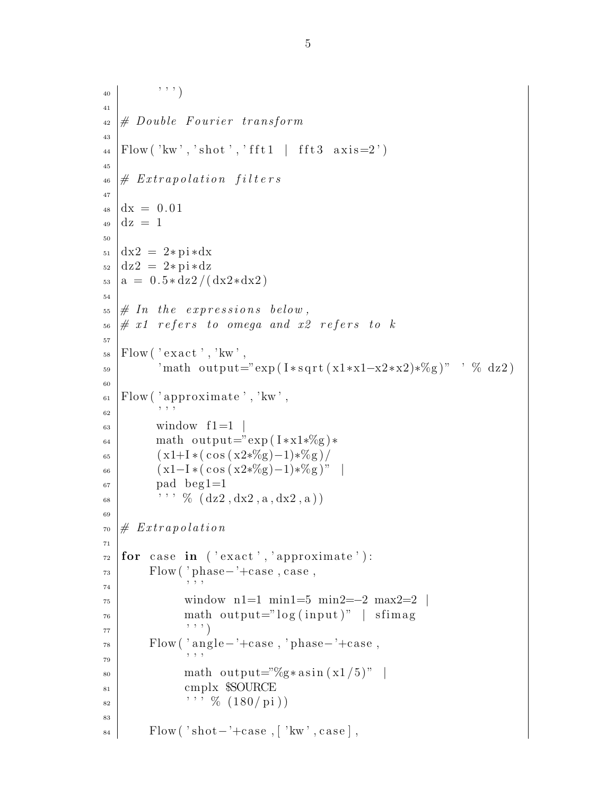```
40 ' ' ' )
41
_{42} \# Double Fourier transform
43
_{44} | Flow ('kw','shot','fft1 | fft3 axis=2')
45
_{46} # Extrapolation filters
47
_{48} dx = 0.01
_{49} dz = 1
50
_{51} dx2 = 2∗ pi*dx
_{52} dz2 = 2∗ pi∗dz
_{53} a = 0.5*dz2/(dx2*dx2)
54
55 \# In the expressions below,
56 \# x1 refers to omega and x2 refers to k
57
_{58} | Flow ( ' exact ' , ' kw ' ,
\substack{\text{59}} 'math output="exp(I*sqrt(x1*x1-x2*x2)*%g)" ' % dz2)
60
_{61} Flow ('approximate','kw',
62 , 1\begin{array}{c|c}\n\text{63} & \text{window} & \text{f1} = 1\n\end{array}_{64} math output="exp ( I \astx1\mathscr{K}g)\ast65 (x1+1*(\cos(x2*\%)-1)*\%g)/66 (x1-I*(\cos(x2*\%)-1)*\%g)"
_{67} | pad beg1=1
\kappa_{68} \longrightarrow \mathcal{V}_{6} (dz2, dx2, a, dx2, a)69
70 \# \ Extrapolation71
\tau<sup>2</sup> for case in ('exact', 'approximate'):
73 Flow ( ' phase – '+case, case,
74 , 7, 775 window n1=1 min1=5 min2=−2 max2=2 |
\begin{array}{ccc} 76 \end{array} math output="log(input)" | sfimag
\begin{array}{c} \text{77} \\ \end{array} \begin{array}{c} \text{77} \\ \end{array}78 Flow ( ' angle−'+ca se , ' phase−'+ca se ,
79 , 7, 7\lim_{80} math output="%g* asin (x1/5)"
81 cmplx $SOURCE
\begin{array}{c} 82 \end{array} '' % (180/\,\mathrm{pi})83
\mathcal{B}_{84} Flow ( 'shot – '+case, [ 'kw', case],
```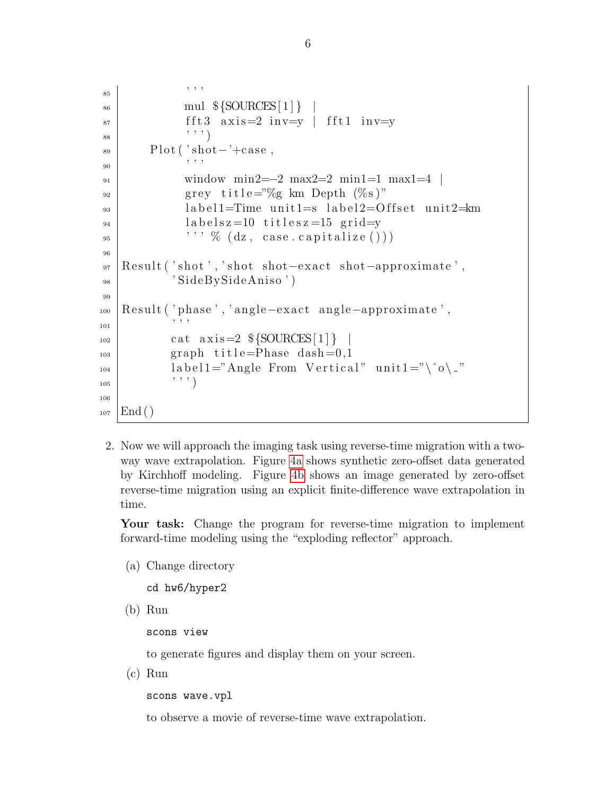```
85 \frac{1}{2} \frac{1}{2} \frac{1}{2} \frac{1}{2} \frac{1}{2} \frac{1}{2} \frac{1}{2} \frac{1}{2} \frac{1}{2} \frac{1}{2} \frac{1}{2} \frac{1}{2} \frac{1}{2} \frac{1}{2} \frac{1}{2} \frac{1}{2} \frac{1}{2} \frac{1}{2} \frac{1}{2} \frac{1}{2} \frac{1}{2} \frac{1}{86 | mul ${SOURCES[1] }
 s_{7} fft 3 axis = 2 in v= y fft 1 in v= y
 \begin{array}{c} 88 \end{array} \begin{array}{c} \end{array} \begin{array}{c} \end{array}\mathbf{B} Plot ( 'shot – '+case,
 90 ' ' '
 91 window min2=−2 max2=2 min1=1 max1=4 |
 _{92} grey title="%g km Depth (%s)"
 <sup>93</sup> label1=Time unit1=s label2=Offset unit2=km
 _{94} labelsz=10 titlesz=15 grid=v
 95 ' ' ' % ( dz , ca s e . c a p i t a l i z e ( ) ) )
 96
 97 Result ( 'shot ', 'shot shot-exact shot-approximate',
 98 ' SideBySideAniso')
 99
100 Result ( 'phase ', 'angle-exact angle-approximate',
\begin{array}{c|c|c|c|c} & & & & \text{\; } & & \text{\; } & & \text{\; } & & \text{\; } & & \text{\; } & & \text{\; } & & \text{\; } & & \text{\; } & & \text{\; } & & & \text{\; } & & \text{\; } & & \text{\; } & & & \text{\; } & & \text{\; } & & & \text{\; } & & & \text{\; } & & & \text{\; } & & & \text{\; } & & & \text{\; } & & & \text{\; } & & & \text{\; } & & & \text{\; } & & & \text{\; } & & & \text{\; } & & & \text{\; } & & & \text{\; } & & & \text{\;_{102} cat axis=2 \{\text{SOURCES}[1]\}_{103} graph title=Phase dash=0,1
_{104} label1="Angle From Vertical" unit1="\^o\_"
105 ' ' ' )
106
_{107} | End ()
```
2. Now we will approach the imaging task using reverse-time migration with a twoway wave extrapolation. Figure [4a](#page-7-0) shows synthetic zero-offset data generated by Kirchhoff modeling. Figure [4b](#page-7-1) shows an image generated by zero-offset reverse-time migration using an explicit finite-difference wave extrapolation in time.

Your task: Change the program for reverse-time migration to implement forward-time modeling using the "exploding reflector" approach.

(a) Change directory

```
cd hw6/hyper2
```
(b) Run

scons view

to generate figures and display them on your screen.

(c) Run

scons wave.vpl

to observe a movie of reverse-time wave extrapolation.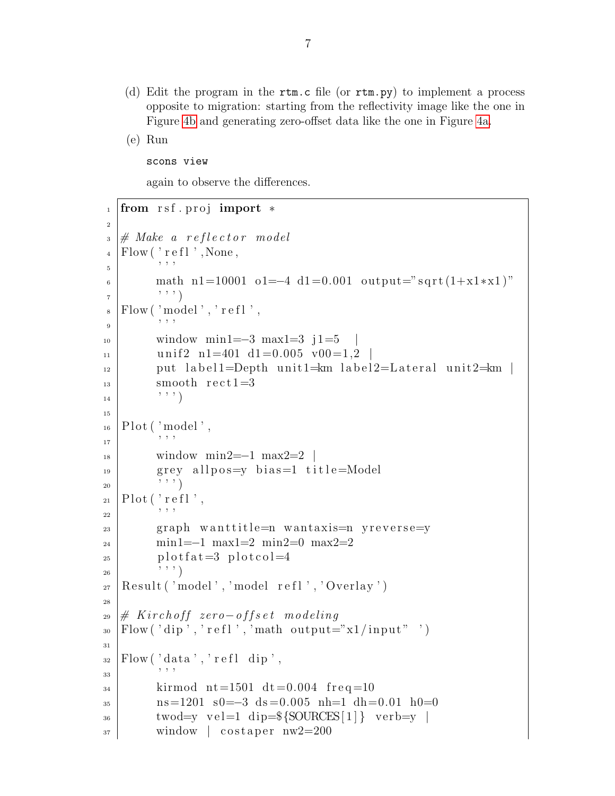(d) Edit the program in the rtm.c file (or rtm.py) to implement a process opposite to migration: starting from the reflectivity image like the one in Figure [4b](#page-7-1) and generating zero-offset data like the one in Figure [4a.](#page-7-0)

(e) Run

scons view

again to observe the differences.

```
1 from rsf.proj import *
\overline{2}\Box \parallel # Make a reflector model
_4 | Flow ( \cdot r e f l \cdot , None,
5 ' ' '
6 math n1=10001 o1=−4 d1=0.001 output="sqrt(1+x1*x1)"
7 \left( \cdots \cdots\right)\vert s \vert Flow ('model','refl',
\overline{9} ' ' ' '
_{10} window min1=−3 max1=3 j1=5
_{11} unif2 n1=401 d1=0.005 v00=1,2 |
\frac{1}{12} put label1=Depth unit1=km label2=Lateral unit2=km |
_{13} smooth rect1=3
\begin{array}{c|c} 14 & \cdots & \cdots \end{array}15
_{16} | Plot ( 'model',
\begin{array}{c|c|c|c|c} & & & & \end{array}, , , ,
\mu<sup>18</sup> window min2=−1 max2=2 |
_{19} grey allpos=y bias=1 title=Model
20 ' ' ' )
_{21} Plot ('refl',
\overline{\text{ }}\text{ }22 \overline{\text{ }} '' ''
_{23} graph wanttitle=n wantaxis=n yreverse=y
24 min1=−1 max1=2 min2=0 max2=2
_{25} plot f a t = 3 plot col = 4
\begin{pmatrix} 26 & 1 \end{pmatrix}_{27} | Result ('model','model refl','Overlay')
28
29 \# Kirchoff zero-offset modeling
_{30} Flow ('dip', 'refl', 'math output="x1/input" ')
31
_{32} Flow ('data', 'refl dip',
33 , 33_{34} kirmod nt=1501 dt=0.004 freq=10
\text{ns}=1201 \text{ s}0=-3 \text{ ds}=0.005 \text{ nh}=1 \text{ dh}=0.01 \text{ h}0=036 twod=y vel=1 dip=${SOURCES[1]} verb=y |
37 window costaper nw2=200
```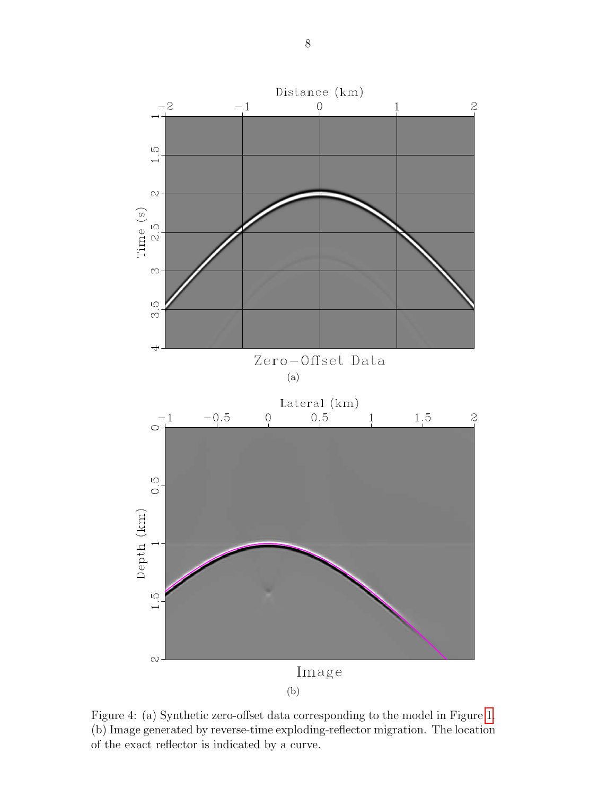<span id="page-7-0"></span>

<span id="page-7-1"></span>Figure 4: (a) Synthetic zero-offset data corresponding to the model in Figure [1.](#page-2-0) (b) Image generated by reverse-time exploding-reflector migration. The location of the exact reflector is indicated by a curve.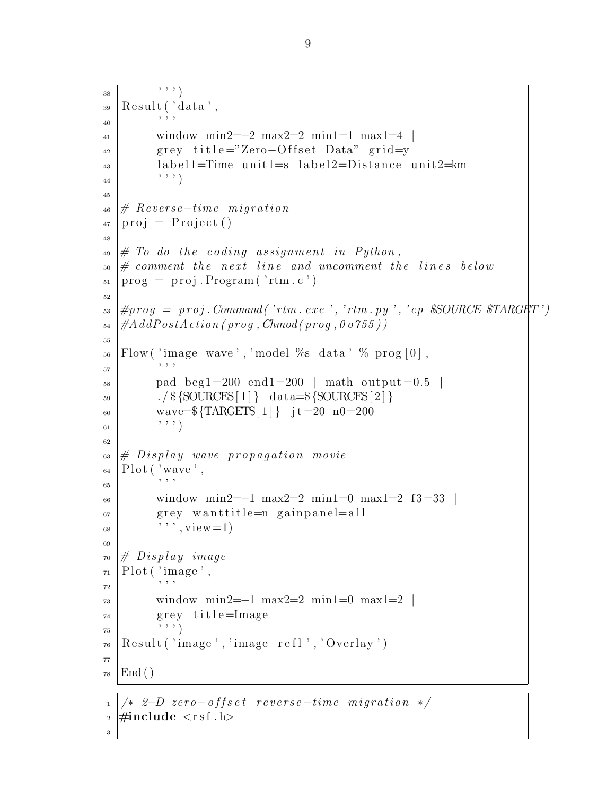```
\begin{array}{c} 38 \end{array} \begin{array}{c} \end{array} \begin{array}{c} \end{array}_{39} | Result (' data',
40 , 1, 1, 141 window min2=−2 max2=2 min1=1 max1=4 |
_{42} grey title="Zero-Offset Data" grid=y
_{43} label 1=Time unit 1=s label 2=Distance unit 2= km
\begin{array}{c|c} 44 & \cdots & \cdots \end{array}45
_{46} # Reverse-time migration
47 \vert \text{proj} = \text{Project}()48
_{49} \# To do the coding assignment in Python,
\Box 50 \# comment the next line and uncomment the lines below
_{51} | prog = proj. Program ('rtm. c')
52
\mathcal{L}_{53} \vert \text{#prog} = \text{proj}. Command('rtm. exe', 'rtm. py', 'cp $SOURCE $TARGET')
_{54} | #AddPostAction (prog, Chmod (prog, 0 o 755))
55
_{56} Flow ('image wave', 'model %s data' % prog [0],
57 , 37 , 3758 pad beg1=200 end1=200 | math output = 0.5 |
_{59} . / \{SOURCES[1]\} data=\{SOURCES[2]\}60 wave=\{\text{TARGETS}[1]\} jt=20 n0=200
61 , 0, 1)62
\epsilon_{63} # Display wave propagation movie
_{64} Plot ('wave',
65 \, , , , ,
66 window min2=−1 max2=2 min1=0 max1=2 f3=33
_{67} grey wanttitle=n gainpanel=all
\begin{array}{c} 68 \end{array} , \begin{array}{c} \cdot \\ \cdot \end{array} , \begin{array}{c} \text{view}=1 \end{array}69
_{70} \# Display image
_{71} Plot ( 'image',
72 , 7, 7\gamma_3 window min2=−1 max2=2 min1=0 max1=2
r_{4} grev title=Image
75 \left( \left(, \frac{1}{2}\right)76 \mid Result ('image','image refl','Overlay')
77
78 \mid End ()
1 \mid \n\star \, 2-D \, zero-offset \, reverse-time \, migration \, *
```

```
_2 #include \langlersf .h\rangle
```
3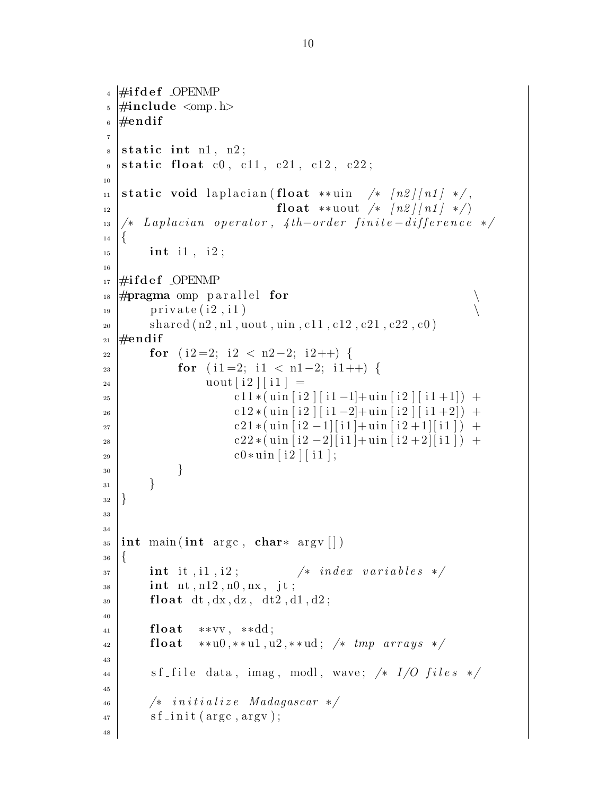```
_4 #ifdef OPENMP
\frac{1}{2} #include < omp. h
6 \neqendif
7
s static int n1, n2;
\mathfrak{g} static float c0, c11, c21, c12, c22;
10
11 static void laplacian (float **uin /* \lfloor n2 \rfloor \lfloor n1 \rfloor */,
\text{float} **uout \left( \frac{k}{2} \right) \left[ \frac{n2}{n1} \right] */
13 \mid \frac{k}{4} Laplacian operator, 4th-order finite-difference */
14\,_{15} int i1, i2;
16
_{17} #ifdef OPENMP
\frac{18}{2} #pragma omp parallel for \setminus_{19} private (i2, i1)
_{20} shared (n2, n1, uout, uin, c11, c12, c21, c22, c0)_{21} #endif
22 \mid for (i2=2; i2 < n2-2; i2++) {
23 for (i1=2; i1 < n1−2; i1++) {
\begin{array}{c|c|c|c} \text{2} & \text{2} & \text{2} & \text{2} & \text{2} & \text{2} & \text{2} & \text{2} & \text{2} & \text{2} & \text{2} & \text{2} & \text{2} & \text{2} & \text{2} & \text{2} & \text{2} & \text{2} & \text{2} & \text{2} & \text{2} & \text{2} & \text{2} & \text{2} & \text{2} & \text{2} & \text{2} & \text{2} & \text{2} & \text{2} & \text{2} & \text{2} & \text{2} & \text{2} & \text{25 c11 * ( uin [i2 ] [ i1 -1] + uin [i2 ] [ i1 +1]) +
26 c12 * ( uin [i2 ] [ i1 -2] + uin [i2 ] [ i1 +2]) +
\text{c}21 * (\text{uin} \left[ \text{i}2 - 1 \right] [\text{i}1] + \text{uin} \left[ \text{i}2 + 1 \right] [\text{i}1]) +28 c22 * ( uin [i2 -2][i1] + uin [i2 + 2][i1]) +
_{29} | c0 * \text{uin} [ i 2 ] [ i 1 ];
30 }
31 }
32 \mid \}33
34
35 int main (int argc, char* argv [])
36 \mid \{37 int it, i1, i2; \frac{1}{2} index variables \frac{*}{4}_{38} int nt, n12, n0, nx, jt;
_{39} float dt, dx, dz, dt2, d1, d2;
40
_{41} float **vv, **dd;
42 float **u0,**u1,u2,**ud; /* tmp \; arrays \;*/43
_{44} sf file data, imag, modl, wave; /* I/O files */
45
\begin{array}{c|c}\n _{46} & \times \end{array} initialize Madagascar */\begin{array}{c|c} \n\text{47} & \text{sf} \quad \text{in} \quad \text{if} \quad (\text{argc}, \text{argv}); \n\end{array}48
```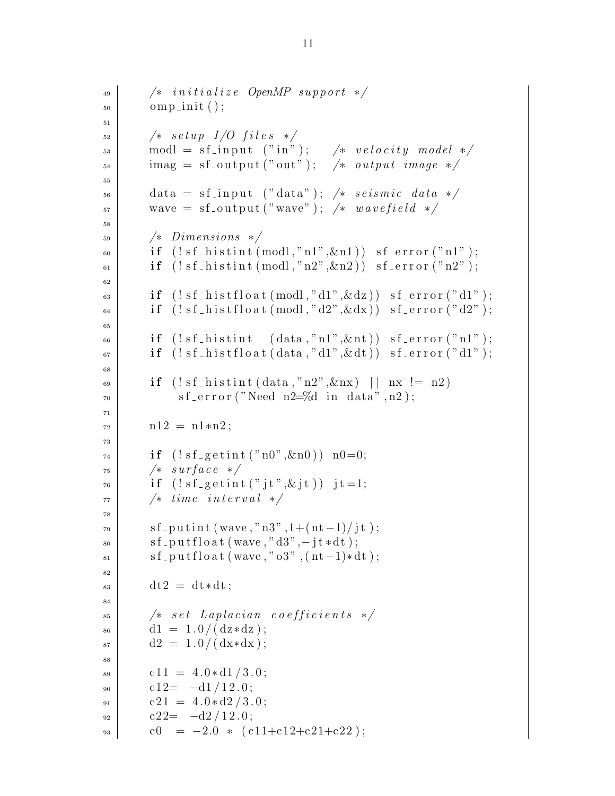```
\begin{array}{c|c}\n _{49} & \times & initialize \quad OpenMP \; support \ */ \\
 \end{array}\substack{50\\ \text{op}} omp_init ();
51
\begin{array}{c|c}\n 52 & \rightarrow & setup \end{array} I/O files */\begin{array}{lll} \text{53} & \text{modl} = \text{sf} \text{.input} & (\text{"in"}); & \text{/*} & \text{velocity} & \text{model} & \text{*} \end{array}\begin{array}{lll} \text{54} & \text{imag} = \text{sf\_output("out")}; \quad \text{/*} & \text{output image} \end{array}55
\begin{array}{lll} 56 & \text{data} = \text{sf} \text{.} \text{input} \end{array} ("data"); /* seismic data */
57 wave = sf_output ("wave"); /* wavefield */
58
59 /* Dimensions */
\begin{bmatrix} 60 \end{bmatrix} if (!sf\_histint (modl,"n1",\&n1)) sf_error("n1");
_{61} if (!sf\_histint (modl,"n2",\&n2)) sf_error("n2");
62
\delta if (!sf\_histfloat(modl,"d1",\&dz)) sf_error("d1");
\mathfrak{sl}_4 if (!sf\_histfloat(modl, "d2", \&dx)) sf_error("d2");
65
\begin{bmatrix} 66 \end{bmatrix} if (!sf\_histint (data, "n1", \& nt)) sf_error("n1");
\delta_{67} if (!sf\_histfloat(data,"d1", \& dt)) sf_error("d1");
68
69 if (! s f_-histint (data, "n2", \& nx) || nx |= n2)\begin{array}{ccc} 70 & \text{s} \text{f} \text{ = error} \text{('Need n2=0d in data", n2)}; \end{array}71
n12 = n1*n2;73
\tau_4 if (! s f_{\text{-}getint} ("n0", \& n0)) n0=0;75 /* surface */
\tau_{6} if (!sf\_getint("jt", \& jt)) jt=1;
77 \mid \rightarrow time interval \ast/78
\{79 \mid \text{sf} \text{-putint} \left( \text{wave}, \text{``} \text{n3''}, 1 + \left( \text{nt} -1 \right) / \text{jt} \right) \}\{80 \mid \text{sf} \text{putfloat}(\text{wave}, "d3", - \text{jt} * dt);\{81 \mid \text{sf} \text{putfloat}(\text{wave}, "03", (\text{nt}-1)*dt) ;82
\det 2 = dt * dt;84
\begin{array}{c|c}\n s_5 & \rightarrow \end{array} /* set Laplacian coefficients */
\begin{array}{c|c} 86 & \text{d1} = 1.0 / (\text{d}z * \text{d}z); \end{array}|87| d2 = 1.0/(dx*dx);
88
| c11 = 4.0∗ d1/3.0;
_{90} c12= -d1/12.0;
|_{91}| c21 = 4.0 \star d2 / 3.0;
_{92} c22= -d2/12.0;
_{93} c0 = -2.0 * (c11+c12+c21+c22);
```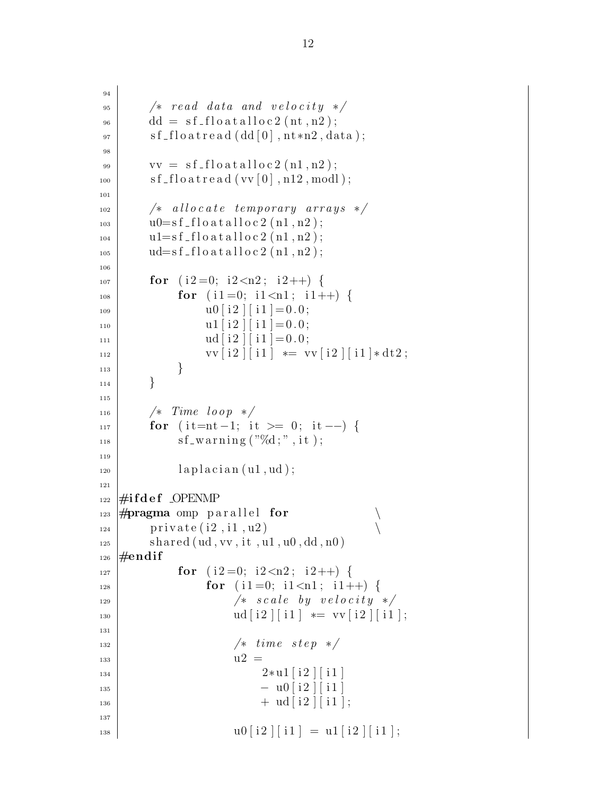```
94
|_{95} /* read data and velocity */
_{96} dd = sf_floatalloc2(nt,n2);
\sigma sf_floatread (dd[0],nt*n2,data);98
_{99} vv = sf_floatalloc2(n1,n2);
_{100} sf floatread (vv [0], n12, modl);
101
\begin{array}{c|c|c|c|c} \hline \end{array} /* allocate temporary arrays */
_{103} u0=sf_floatalloc2 (n1, n2);
_{104} u1=sf_floatalloc2 (n1, n2);
_{105} ud=sf_float alloc 2 (n1, n2);
106
_{107} for (i2=0; i2< n2; i2++) {
_{108} for (i1=0; i1<n1; i1++) {
109 u0 [ i 2 ] [ i 1 ] = 0 . 0 ;
\text{u1} \begin{bmatrix} i2 \end{bmatrix} \begin{bmatrix} i1 \end{bmatrix} = 0.0;\text{ud} \, [\text{i} \, 2 \,] [\text{i} \, 1] = 0.0;112 | \text{vv}[\text{i}2][\text{i}1] \text{**} = \text{vv}[\text{i}2][\text{i}1] \text{**}dt2;
113 }
114 }
115
_{116} /* Time loop */
_{117} for ( it=nt -1; it >= 0; it --) {
_{118} sf_warning ("%d;", it);
119
_{120} | laplacian (u1, ud);
121
_{122} #ifdef _OPENMP
_{123} \#pragma omp parallel for
_{124} private (i2, i1, u2)
_{125} shared (ud, vv, it, u1, u0, dd, n0)
_{126} \#endif
127 \mid for (i2=0; i2<\sqrt{2}; i2++)_{128} for (i1=0; i1<n1; i1++) {
\begin{array}{c|c|c|c|c|c|c|c} \hline \end{array} /* scale by velocity */
130 ud[i2][i1] \equiv \text{vv}[i2][i1];131
132 /* time step */
\frac{133}{133} u2 =
134 \mid 2*u1 \mid i2 \mid i1 \mid_{135} - u0 [ i2 ] [ i1 ]
_{136} + \text{ ud} \left[ \text{ i} 2 \right] \left[ \text{ i} 1 \right];
137
_{138} | \qquad \qquad \qquad u0[i2][i1] = u1[i2][i1];
```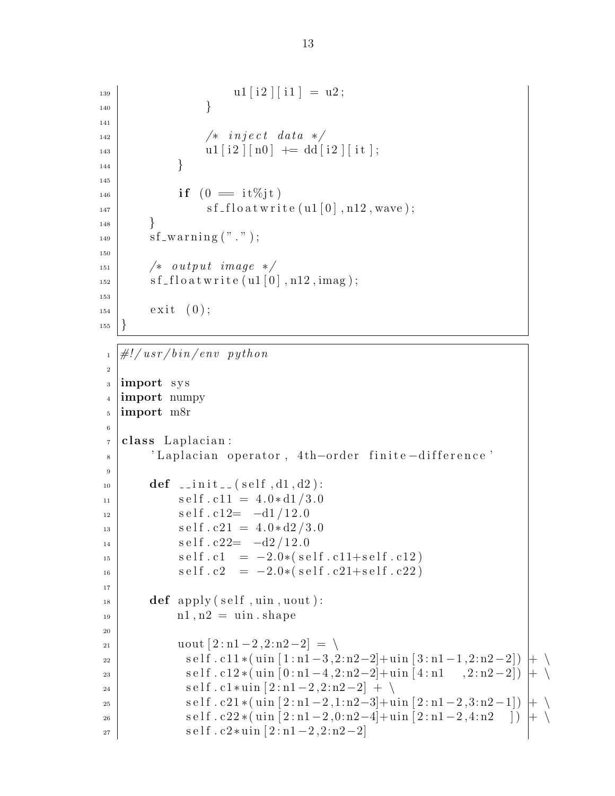```
\begin{array}{c|c|c|c|c} \n & \text{u1} & \text{i2} & \text{i1} & = \text{u2} \,; \n\end{array}140 }
141
142 /* inject data */
\begin{array}{c} \text{u1} [i2] [n0] \text{ +} = \text{dd} [i2] [it]; \end{array}144 }
145
_{146} if (0 = it\%jt)\text{if } \log s \text{ if } s \text{ is a function of } s \text{ if } s \text{ is a function of } s \text{ if } s \text{ is a function of } s \text{ if } s \text{ is a function of } s \text{ if } s \text{ is a function of } s \text{ if } s \text{ is a function of } s \text{ if } s \text{ is a function of } s \text{ if } s \text{ is a function of } s \text{ if } s \text{ is a function of } s \text{ if } s \text{ is a function of } s \text{ if } s \text{ is a function of } s \text{ if } s \text{ is a function of } s \text{ if } s \text{ is a function of } s \text{ if } s \text{ is a function of } s \text148 }
_{149} sf_warning (" " ) ;
150
151 /* output image */
_{152} sf_floatwrite (u1 [0], n12, imag);
153
_{154} exit (0);155 }
```

```
_1 \#!/ usr/bin/env python
2
3 import sys
4 import numpy
5 import m8r
6
7 class Laplacian:
8 | 'Laplacian operator, 4th-order finite-difference'
9
_{10} def _{-1} in it _{-1} (self, d1, d2):
11 self.c11 = 4.0*d1/3.012 self.c12= -d1/12.0_{13} self.c21 = 4.0∗d2/3.0
14 \text{ s} s e l f . c 22 = -d2/12.0_{15} self.c1 = -2.0*(self.c11+self.c12)16 self.c2 = -2.0*(self.c21+self.c22)17
\text{def } \text{apply}(\text{self}, \text{uin}, \text{uout}):n_1, n_2 = uin . shape
20
21 | uout [2:n1-2,2:n2-2] = \setminus\begin{array}{c} \text{se} \mid f \cdot \text{c} \cdot 11 * (\text{uin} \cdot [1 \cdot n1 - 3, 2 \cdot n2 - 2] + \text{uin} \cdot [3 \cdot n1 - 1, 2 \cdot n2 - 2]) \mid + \end{array}23 s e l f . c12 ∗( uin [ 0 : n1 −4 ,2: n2−2]+ uin [ 4 : n1 , 2 : n2 −2]) + \
24 \vert self.c1 * uin [2:n1-2,2:n2-2] + \
\begin{array}{c} \text{se} \mid \text{s} \text{e} \mid \text{f} \cdot \text{c} \cdot 21 * (\text{uin} \left[ 2 \cdot \text{n1} - 2 \cdot 1 \cdot \text{n2} - 3 \right] + \text{uin} \left[ 2 \cdot \text{n1} - 2 \cdot 3 \cdot \text{n2} - 1 \right] \mid + \setminus \end{array}26 | self.c22 *(uin [2:n1 - 2,0:n2 - 4]+uin [2:n1 - 2,4:n2 ]) |+
27 \mid self.c2*uin [2:n1-2,2:n2-2]
```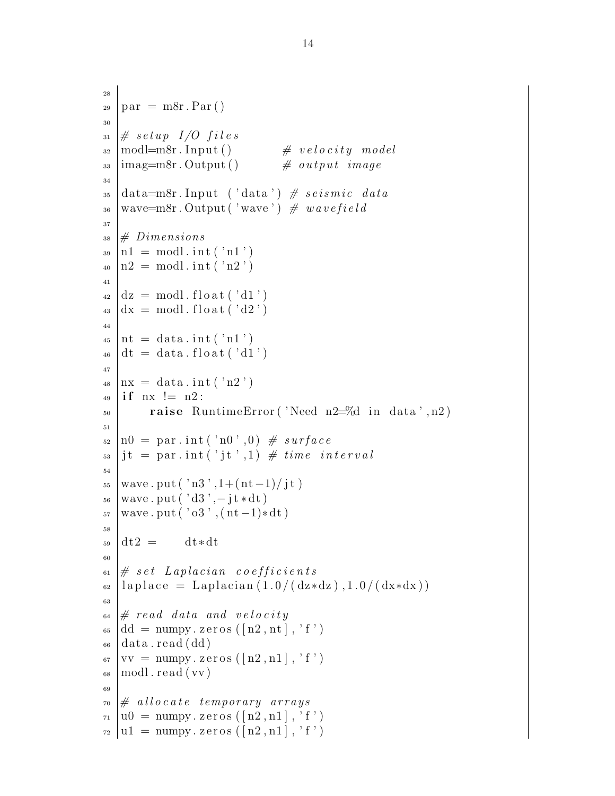```
28
_{29} | par = m8r. Par ()
30
31 \# \ setup I/O files32 \mod 2modl=m8r. Input () # velocity model
\frac{33 \text{ } | \text{imag}=m8r}. Output () # output image
34
35 \text{ data}=m8r. Input ('data') # seismic data
_{36} wave=m8r. Output ('wave') \# wavefield
37
38 \# Dimensions
_{39} | n1 = modl. int ('n1')
_{40} | n2 = \text{modl} \cdot \text{int} (\cdot n2 \cdot)41
_{42} | dz = modl. float ('d1')
_{43} dx = modl. float ('d2')
44
_{45} | nt = data.int ('n1')
_{46} dt = data. float ('d1')
47
_{48} | nx = data.int ('n2')
_{49} if nx != n2:
_{50} raise RuntimeError ('Need n2=%d in data',n2)
51
_{52} |n0 = par.int ('n0',0) \# surface
_{53} it = par.int('it',1) \# time interval
54
_{55} wave . put ( 'n3', 1+(nt-1)/jt)
56 wave . put ( ' d3 ' ,− j t ∗dt )
\sigma<sub>57</sub> wave . put ( '\sigma3', (\text{nt}-1)*dt)
58
_{59} dt2 = dt *dt60
\begin{array}{c} 61 \# \ set \ Laplacian \ coefficients \end{array}_{62} | laplace = Laplacian (1.0/(\text{dx*}dz), 1.0/(\text{dx*}dx))63
\begin{array}{c} \text{64} \neq \text{read data and velocity} \end{array}_{65} dd = numpy. zeros ([n2, nt], 'f')
_{66} | data.read (dd)
_{67} |vv = numpy. zeros ([n2, n1], 'f')
_{68} | modl. read ( vv)
69
\tau_0 \# allocate temporary arrays
\tau_1 | u0 = \text{number}.\text{zeros}([n2, n1], 'f')\tau_2 | u1 = numpy. zeros ([n2, n1], 'f')
```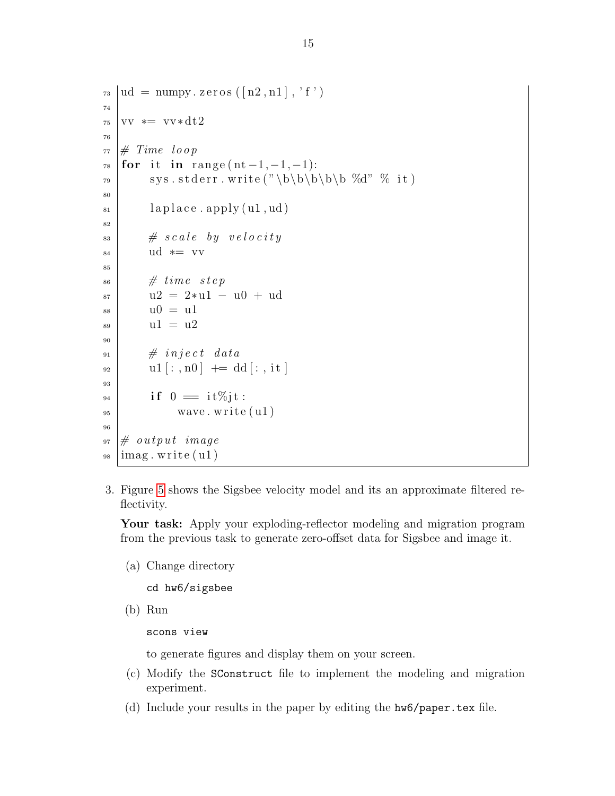```
\tau_3 | ud = numpy. zeros (\lceil n2, n1 \rceil, 'f')
74
75 \text{ vV} \approx \text{vV} \cdot \text{dt}2
76
77 \# Time loop
78 for it in range (nt-1,-1,-1):
79 s y s . s t d e r r . w ri t e ( "\b\b\b\b\b %d" % i t )
80
\| \text{subplace} \cdot \text{apply} (\text{u1}, \text{ud})82
| \# scale by velocity
84 ud * = vv85
\begin{array}{c} 86 \end{array} # time step
87 u2 = 2*u1 – u0 + ud
| ss | u0 = u1
| u1 = u290
91 # inject data
_{92} u1 [:, n0] \leftarrow dd [:, it]
93
_{94} if 0 = it\%jt:
_{95} wave . write ( u1)96
97 \# output image
98 \midimag. write ( u1)
```
3. Figure [5](#page-15-0) shows the Sigsbee velocity model and its an approximate filtered reflectivity.

Your task: Apply your exploding-reflector modeling and migration program from the previous task to generate zero-offset data for Sigsbee and image it.

(a) Change directory

cd hw6/sigsbee

(b) Run

scons view

to generate figures and display them on your screen.

- (c) Modify the SConstruct file to implement the modeling and migration experiment.
- (d) Include your results in the paper by editing the hw6/paper.tex file.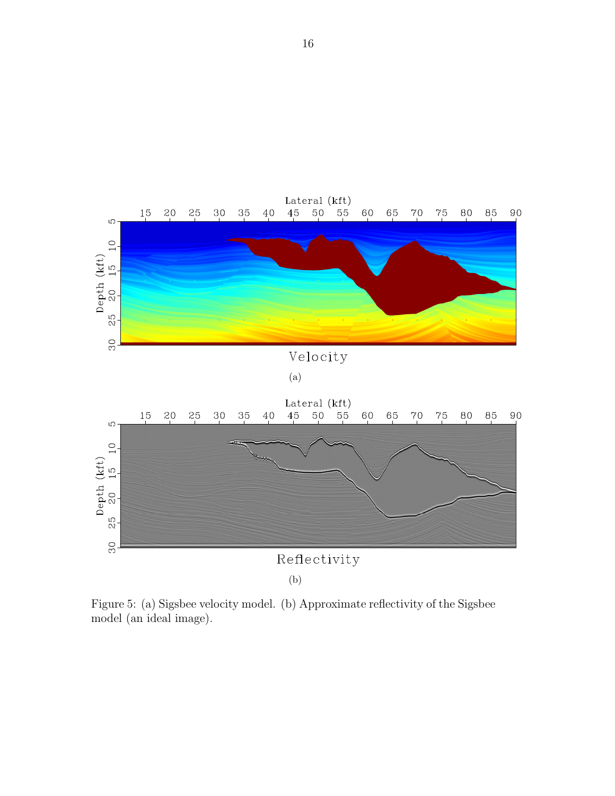

<span id="page-15-0"></span>Figure 5: (a) Sigsbee velocity model. (b) Approximate reflectivity of the Sigsbee model (an ideal image).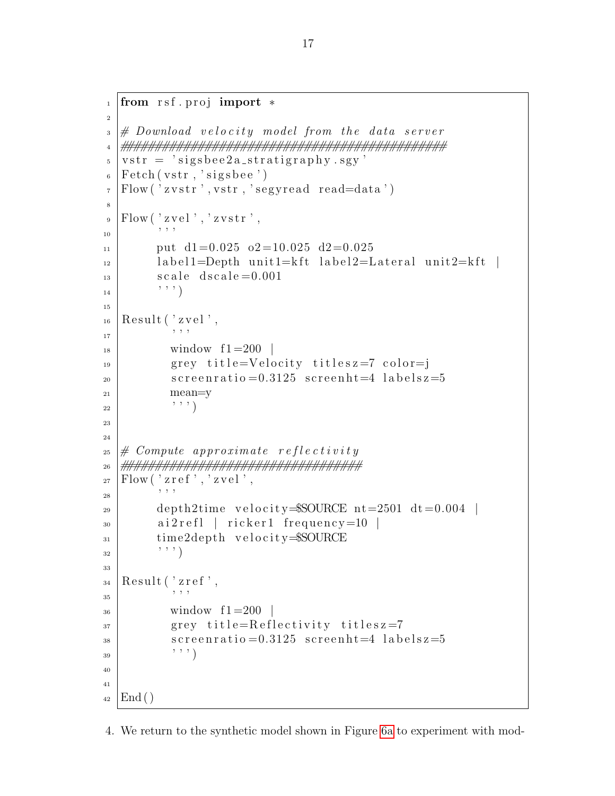```
_1 from rsf. proj import *2
_3 \# Download velocity model from the data server
4 ##############################################
s \mid vstr = 'signsbee2a_stratigraphy \cdot sgy'_{6} | Fetch ( vstr, 'sigsbee ')
\tau Flow ('zvstr', vstr, 'segyread read=data')
8
\mathcal{P} Flow ( 'zvel', 'zvstr',
10 ' ' '
_{11} put d1=0.025 o2=10.025 d2=0.025
\frac{1}{12} label1=Depth unit1=kft label2=Lateral unit2=kft
\vert<sup>13</sup> scale d scale = 0.001
\begin{array}{c|c} \hline 14 & \hline \end{array}15
_{16} Result ( 'zvel',
17 ' ' '
\frac{18}{18} window f1 = 200_{19} grey title=Velocity titlesz=7 color=j
\substack{\text{20} \\ \text{21}} screenratio = 0.3125 screenht = 4 labels z = 5
21 mean=y
\begin{array}{c} 22 \end{array} , , , , )
23
24
25 \# Compute approximate reflectivity
26 ##################################
_{27} | Flow ( ' z r e f ' , ' z v e l ' ,
\begin{array}{c|c|c|c} \hline \end{array} : \begin{array}{c|c|c|c} \hline \end{array} , , ,
_{29} depth2time velocity=$SOURCE nt=2501 dt=0.004 |
_{30} ai2refl | ricker1 frequency=10 |
\text{time2depth} velocity=$SOURCE
\frac{1}{32} \Big\} , , , , )
33
_{34} Result ('zref',
\frac{35}{ } \frac{1}{ } \frac{1}{ } \frac{1}{ } \frac{1}{ } \frac{1}{ } \frac{1}{ } \frac{1}{ } \frac{1}{ } \frac{1}{ } \frac{1}{ } \frac{1}{ } \frac{1}{ } \frac{1}{ } \frac{1}{ } \frac{1}{ } \frac{1}{ } \frac{1}{ } \frac{1}{ } \frac{1}{ } \frac{1}{ } \frac{1}{ } \frac{1}{ } \frac{1}{ } \frac{_{36} window f1 = 200\sigma are grey title=Reflectivity titlesz=7
\substack{\text{38}} screenratio = 0.3125 screenht=4 labelsz=5
39 , 7, 7)40
41
_{42} | End ()
```
4. We return to the synthetic model shown in Figure [6a](#page-18-0) to experiment with mod-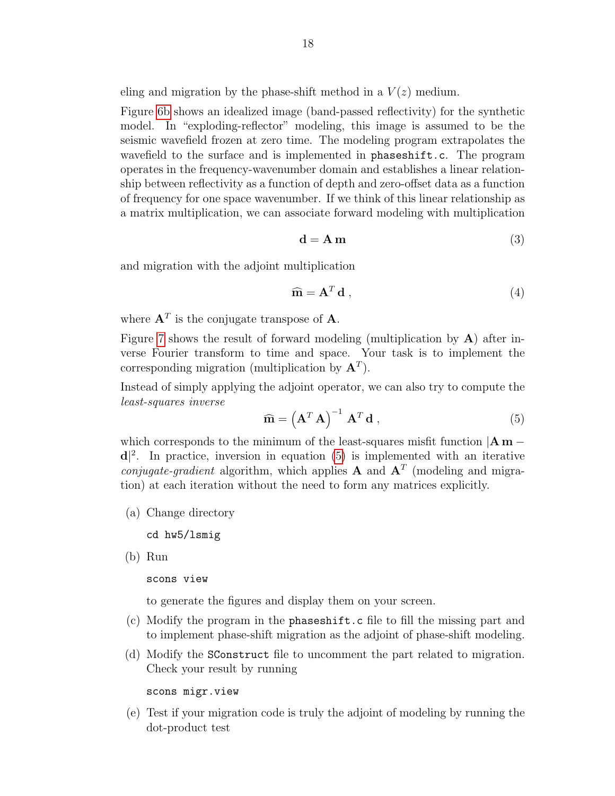eling and migration by the phase-shift method in a  $V(z)$  medium.

Figure [6b](#page-18-1) shows an idealized image (band-passed reflectivity) for the synthetic model. In "exploding-reflector" modeling, this image is assumed to be the seismic wavefield frozen at zero time. The modeling program extrapolates the wavefield to the surface and is implemented in phaseshift.c. The program operates in the frequency-wavenumber domain and establishes a linear relationship between reflectivity as a function of depth and zero-offset data as a function of frequency for one space wavenumber. If we think of this linear relationship as a matrix multiplication, we can associate forward modeling with multiplication

$$
\mathbf{d} = \mathbf{A} \,\mathbf{m} \tag{3}
$$

and migration with the adjoint multiplication

$$
\widehat{\mathbf{m}} = \mathbf{A}^T \mathbf{d} \,, \tag{4}
$$

where  $A<sup>T</sup>$  is the conjugate transpose of A.

Figure [7](#page-18-2) shows the result of forward modeling (multiplication by A) after inverse Fourier transform to time and space. Your task is to implement the corresponding migration (multiplication by  $A<sup>T</sup>$ ).

Instead of simply applying the adjoint operator, we can also try to compute the least-squares inverse

<span id="page-17-0"></span>
$$
\widehat{\mathbf{m}} = \left(\mathbf{A}^T \mathbf{A}\right)^{-1} \mathbf{A}^T \mathbf{d} \,, \tag{5}
$$

which corresponds to the minimum of the least-squares misfit function  $|\mathbf{A}\mathbf{m}$  $d^2$ . In practice, inversion in equation [\(5\)](#page-17-0) is implemented with an iterative *conjugate-gradient* algorithm, which applies **A** and  $A<sup>T</sup>$  (modeling and migration) at each iteration without the need to form any matrices explicitly.

(a) Change directory

cd hw5/lsmig

(b) Run

scons view

to generate the figures and display them on your screen.

- (c) Modify the program in the phaseshift.c file to fill the missing part and to implement phase-shift migration as the adjoint of phase-shift modeling.
- (d) Modify the SConstruct file to uncomment the part related to migration. Check your result by running

scons migr.view

(e) Test if your migration code is truly the adjoint of modeling by running the dot-product test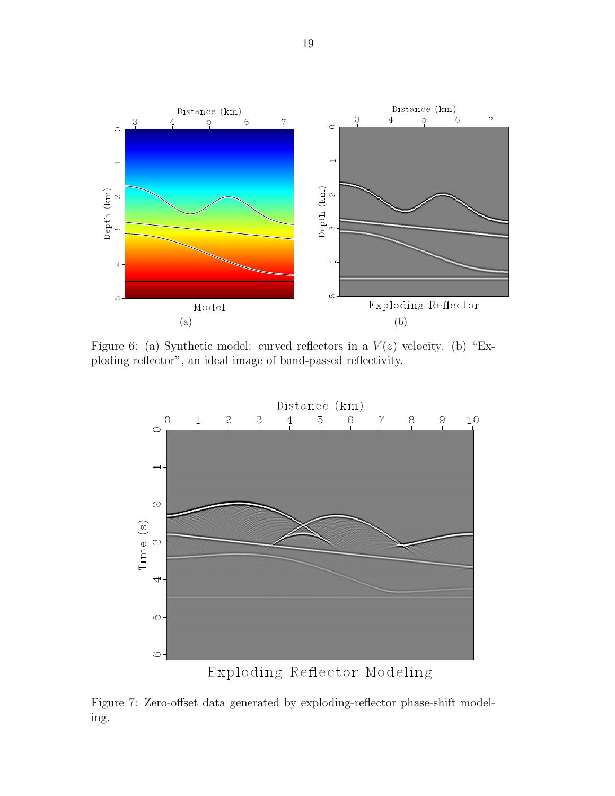<span id="page-18-0"></span>

Figure 6: (a) Synthetic model: curved reflectors in a  $V(z)$  velocity. (b) "Exploding reflector", an ideal image of band-passed reflectivity.

<span id="page-18-1"></span>

<span id="page-18-2"></span>Figure 7: Zero-offset data generated by exploding-reflector phase-shift modeling.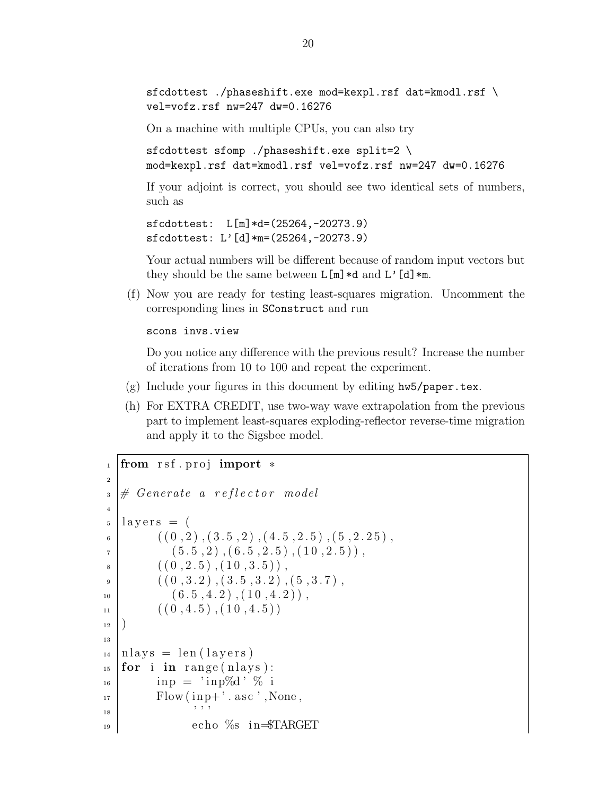sfcdottest ./phaseshift.exe mod=kexpl.rsf dat=kmodl.rsf \ vel=vofz.rsf nw=247 dw=0.16276

On a machine with multiple CPUs, you can also try

sfcdottest sfomp ./phaseshift.exe split=2 \ mod=kexpl.rsf dat=kmodl.rsf vel=vofz.rsf nw=247 dw=0.16276

If your adjoint is correct, you should see two identical sets of numbers, such as

```
sfcdottest: L[m]*d=(25264,-20273.9)
sfcdottest: L'[d]*m=(25264,-20273.9)
```
Your actual numbers will be different because of random input vectors but they should be the same between  $L[m]*d$  and  $L'[d]*m$ .

(f) Now you are ready for testing least-squares migration. Uncomment the corresponding lines in SConstruct and run

scons invs.view

Do you notice any difference with the previous result? Increase the number of iterations from 10 to 100 and repeat the experiment.

- (g) Include your figures in this document by editing hw5/paper.tex.
- (h) For EXTRA CREDIT, use two-way wave extrapolation from the previous part to implement least-squares exploding-reflector reverse-time migration and apply it to the Sigsbee model.

```
_1 from rsf. proj import *2
\Box \# Generate a reflector model
4
_5 | layers = (
6 \mid ((0,2), (3.5,2), (4.5,2.5), (5,2.25),\begin{array}{c} \n7 \end{array} ( 5.5, 2), (6.5, 2.5), (10, 2.5)),
\{8\} ( (0, 2.5), (10, 3.5)),
9 \mid ((0, 3.2), (3.5, 3.2), (5, 3.7),\begin{array}{c|c} \n\text{10} & (6.5, 4.2) & (10, 4.2) \n\end{array}(10, 4.5), (10, 4.5))12 )
13
_{14} | nlays = len (layers)
_{15} for i in range (nlays):
_{16} inp = 'inp\%d' % i
_{17} Flow (in p+'. as c', None,
18 ' ' '
_{19} echo %s in=$TARGET
```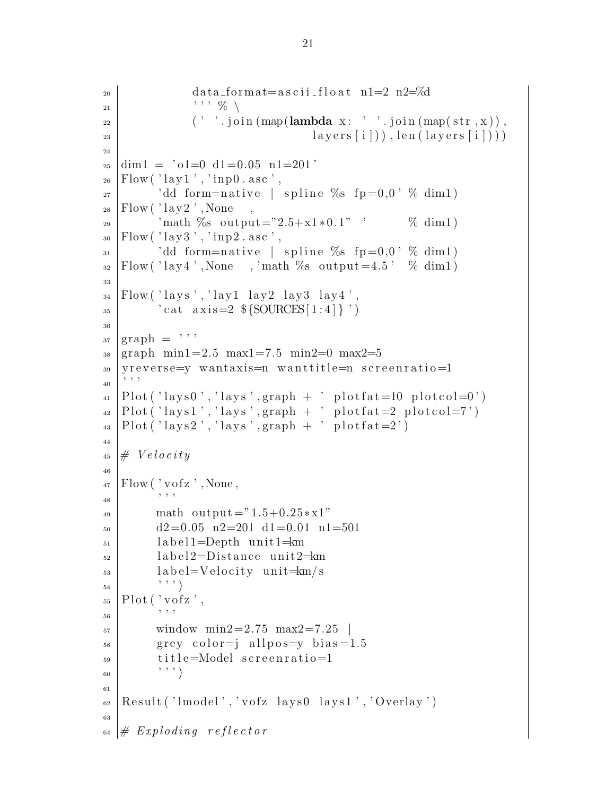```
_{20} data_format=ascii_float n1=2 n2=%d
\begin{array}{ccc} & & \cdot & \cdot & \cdot & \mathbb{V}_{0} \end{array}_{22} ( ' ' . join (map(lambda x: ' ' . join (map(str, x)),
23 \mid \text{layers} \lceil i \rceil), len (layers [i])),
24
_{25} dim1 = \degree o1=0 d1=0.05 n1=201 \degree_{26} Flow ('\vertlay1', 'inp0. asc',
_{27} dd form=native | spline %s fp=0,0 % dim1)
_{28} | Flow (' lay 2, None
29 'math %s output="2.5+x1*0.1" ' % dim1)
_{30} Flow ('lay 3', 'inp2.asc',
31 'dd form=native | spline %s fp=0,0' % dim1)
_{32} Flow ('lay4', None, 'math %s output=4.5' % dim1)
33
_{34} | Flow ( ' lays', ' lay 1 lay 2 lay 3 lay 4',
35 ' cat axis=2 \S {SOURCES [1:4] } ')
36
37 \text{ graph} = \text{''}_{38} graph min1=2.5 max1=7.5 min2=0 max2=5
39 yreverse=y wantaxis=n wanttitle=n screenratio=1
40 \t| 22_{41} Plot ('lays0','lays',graph + ' plotfat=10 plotcol=0')
_{42} |Plot ('lays1','lays',graph + ' plotfat=2 plotcol=7')
_{43} Plot ('lays2','lays',graph + ' plotfat=2')
44
45 \# Velocity46
_{47} | Flow ( ' vofz ' , None,
48 ' ' '
_{49} math output ="1.5+0.25*x1"
_{50} d2=0.05 n2=201 d1=0.01 n1=501
_{51} label1=Depth unit1=km_{52} label2=Distance unit2=km_{53} label=Velocity unit=km/s54 , 0, 1)_{55} Plot (' vofz',
56 , 5657 \text{ mindown} = 2.75 \text{ max} = 7.25\sigma<sub>58</sub> grey color=j allpos=y bias=1.5
_{59} title=Model screenratio=1
60 '''
61
_{62} Result ('lmodel','vofz lays0 lays1','Overlay')
63
_{64} # Exploding reflector
```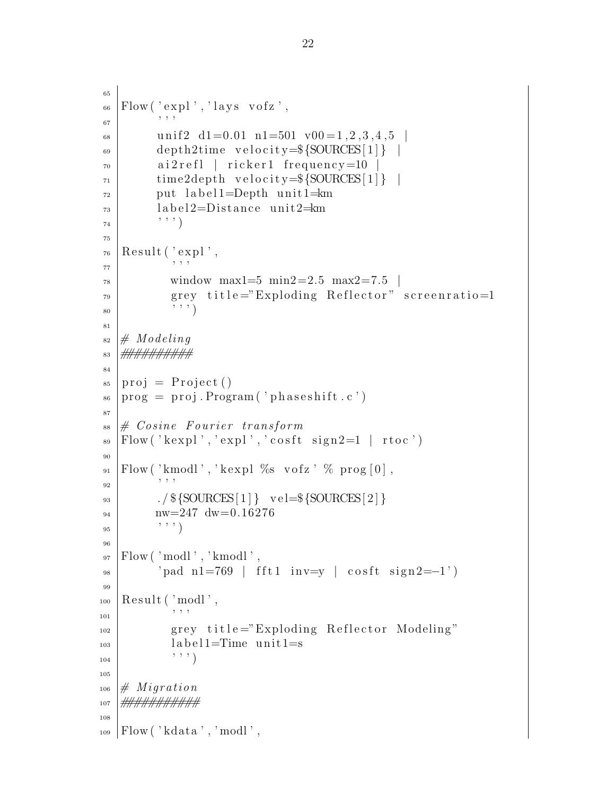```
65
_{66} Flow ('_{\rm exp}','lays vofz',
 67 \begin{array}{c} \circ \\ \circ \circ \end{array}68 unif 2 d1=0.01 n1=501 v00=1,2,3,4,5
_{69} depth2time velocity=\S{SOURCES[1]} |
70 a i 2 r e f l | r i c k e r 1 f r e q u e n c y=10 |
71 time2depth v e l o c i t y=${SOURCES[ 1 ] } |
_{72} put label 1=Depth unit 1= km
_{73} label 2=Distance unit 2= km
\begin{array}{c|c} \hline 74 & \cdots & \hline \end{array}75
76 \midResult ('expl',
 77 ' ' '
\frac{78}{10} window max1=5 min2=2.5 max2=7.5 |
<sup>79</sup> grey title="Exploding Reflector" screenratio=1
\begin{array}{c} \begin{array}{c} \text{80} \\ \text{80} \end{array} \end{array}81
s_2 \mid \# \text{Model}83 ##########
84
_{85} | proj = Project ()
_{86} | prog = proj. Program ('phaseshift.c')
87
\frac{1}{2} \# Cosine Fourier transform\begin{array}{c} \mathbf{S}^9 \end{array} Flow ( 'kexpl', 'expl', 'cosft sign2=1 | rtoc')
90
_{91} Flow ('kmodl',' kexpl %s vofz' % prog [0],
 92 , , , ,93 . \frac{1}{\frac{1}{2}} \cdot \frac{1}{\frac{1}{2}} \cdot \text{vel} = \frac{1}{\frac{1}{2}} \cdot \frac{1}{2}_{94} nw=247 dw=0.16276
95 , 9596
_{97} [Flow('modl','kmodl',
_{98} ' pad n1=769 | fft1 inv=y | cosft sign2=−1')
99
_{100} Result ( 'modl',
101 ' ' '
102 grey title="Exploding Reflector Modeling"
_{103} label 1=Time unit 1=s
104 ' ' ' )
105
_{106} # Migration
107 ###########
108
_{109} Flow ('kdata', 'modl',
```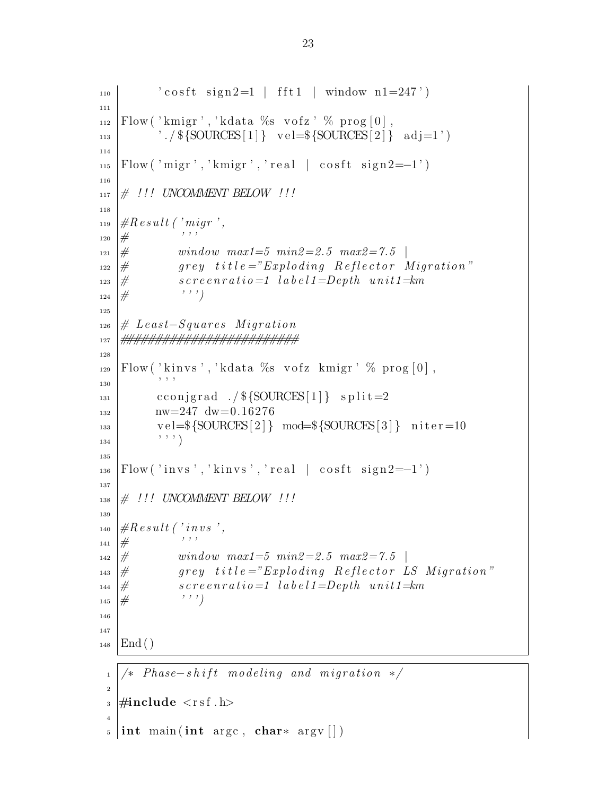```
\left| \begin{array}{c} \text{110} \\ \text{1110} \end{array} \right| ' cosft sign2=1 | fft1 | window n1=247')
111
_{112} Flow ('kmigr','kdata %s vofz' % prog [0],
113 | \langle \frac{\${SOURCES}[1]}{ \ \} \ \text{vel}=\${SOURCES}[2]\} \ \text{adj}=1 \rangle114
_{115} Flow ( 'migr ', 'kmigr ', ' real | cosft sign2=−1')
116
117 \neq !!! UNCOMMENT BELOW !!!
118
_{119} | \#R e s ult ('migr',
_{120} # \qquad \qquad ''
121 \# window max1=5 min2=2.5 max2=7.5\begin{array}{lll} \textbf{1}_{122} & \# & \textbf{1}_{22} & \textbf{1}_{22} & \textbf{1}_{22} & \textbf{1}_{22} & \textbf{1}_{22} & \textbf{1}_{22} & \textbf{1}_{22} & \textbf{1}_{22} & \textbf{1}_{22} & \textbf{1}_{22} & \textbf{1}_{22} & \textbf{1}_{22} & \textbf{1}_{22} & \textbf{1}_{22} & \textbf{1}_{22} & \textbf{1}_{22} & \textbf{1}_{22} & \textbf{1}_{22} & \textbf{1}_{22} & \textbf{1}_{22\begin{array}{lll} \textbf{1}_{123} & \# & \textbf{1}_{123} & \textbf{1}_{123} & \textbf{1}_{123} & \textbf{1}_{123} & \textbf{1}_{123} & \textbf{1}_{123} & \textbf{1}_{123} & \textbf{1}_{123} & \textbf{1}_{123} & \textbf{1}_{123} & \textbf{1}_{123} & \textbf{1}_{123} & \textbf{1}_{123} & \textbf{1}_{123} & \textbf{1}_{123} & \textbf{1}_{123} & \textbf{1}_{123} & \textbf{1}_{123} &124 \# ''')
125
_{126} # Least–Squares Migration
127 #########################
128
_{129} Flow ('kinvs','kdata %s vofz kmigr' % prog [0],
130 , 7, 7_{131} cconjgrad ./$\{SOURCES[1]\} split=2
_{132} nw=247 dw=0.16276
_{133} |  vel=\{SOURCES[2]\} mod=\{SOURCES[3]\} niter=10
134 '''
135
_{136} Flow ( 'invs ', 'kinvs ', 'real | cosft sign2=−1')
137
_{138} |# !!! UNCOMMENT BELOW !!!
139
_{140} | \#R e s ult ('in v s',
141 \# '''
_{142} |# window max1=5 min2=2.5 max2=7.5 |
_{143} \frac{1}{\#} grey title="Exploding Reflector LS Migration"
\begin{array}{lll} \text{144} & \# & \text{15.1} \\ \text{14.1} & \text{16.1} \\ \text{15.1} & \text{17.1} \\ \text{16.1} & \text{18.1} \\ \text{17.1} & \text{19.1} \\ \text{18.1} & \text{19.1} \\ \text{19.1} & \text{10.1} \\ \text{10.1} & \text{11.1} \\ \text{11.1} & \text{12.1} \\ \text{13.1} & \text{13.1} \\ \text{14.1}145 \# ''')
146
147
_{148} | End ()
  _1 | /* Phase-shift modeling and migration */
  \overline{2}_3 #include \langlersf .h\rangle4
  _5 int main (int argc, char* argv [])
```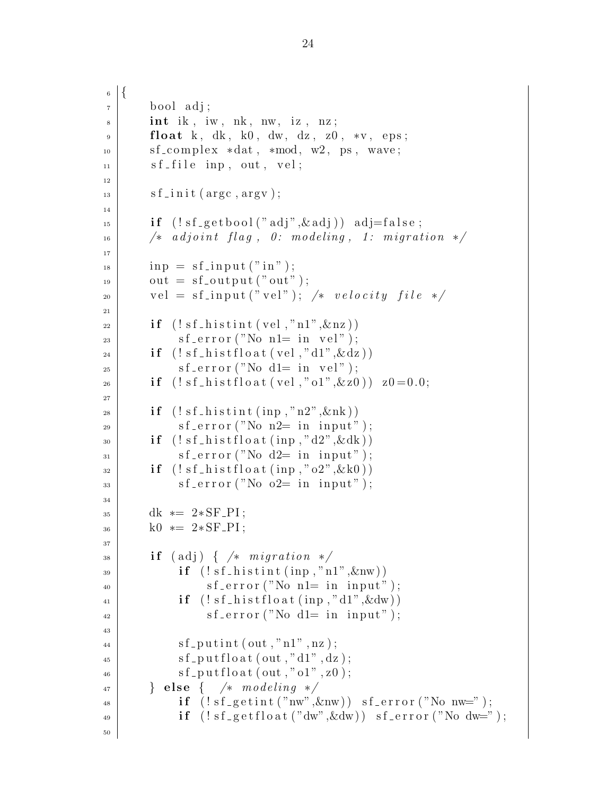```
6 \mid \{<sup>7</sup> bool adj;
|s| int ik, iw, nk, nw, iz, nz;
9 float k, dk, k0, dw, dz, z0, *v, eps;
_{10} sf_complex *dat, *mod, w2, ps, wave;
\left| \begin{array}{c} 11 \end{array} \right| sf_file inp, out, vel;
12
\text{is} sf_init (argc, argv);
14
\text{if } (\text{!sf\_getbool}(" \text{adj}, \& \text{adj}) \text{ adj} = \text{false};16 /* adjoint flag, 0: modeling, 1: migration */
17
\text{sup} = \text{sf\_input}("in");
_{19} out = sf_output ("out");
20 vel = sf_input ("vel"); /* velocity file */21
_{22} if (!sf\_histint (vel, "nl", \&nz))s f_{\text{error}}("No n1= in vel");_{24} if (!sf\_histfloat(vel,'d1",\&dz))s f_{\text{-error}}("No d1= in vel");26 if (! s f_-h i s t f l o a t (vel, "o1", \& z0)) z0=0.0;27
28 if (!sf\_histint (inp, "n2", \&nk))s \sim s f<sub>-error</sub> ("No n2= in input");
_{30} if (!sf\_histfloat(inp, "d2", \& dk))\text{sf\_error}("No d2= in input");\text{if } (\text{! sf\_histfloat}(\text{inp}, \text{"o2",} \&\text{k0}))\text{as} sf_error ("No o2= in input");
34
_{35} dk *= 2*SF_PI;_{36} k0 \ast = 2 \ast SF PI;
37
\begin{array}{c|c} \text{38} & \text{if (adj) { }} \times \text{ migration } \times \end{array}_{39} if (!sf\_histint (inp, "n1", \&nw))\{a_0 \mid s \text{ f-error}("No n1 = in input");\text{if } (\text{!} s\text{f}_\text{h} \text{is } t\text{f}_\text{0} \text{at } (\text{inp }, \text{"d1",} \&\text{dw}))s \text{ f-error}("No d1 = in input");43
\{a_4 \mid \text{sf} \text{-putint}(\text{out}, "n1", nz) ;\{a_5 \mid s \text{ f} _{-} \text{ put } \text{float}(\text{ out }, "d1", dz);\{a_6\} sf_put f loat (out,"o1", z0);
47 } else { /* modeling */
\text{if } (\text{!sf\_gentint}("nw", \&nw)) \text{sf\_error}("Nonw=");i \in \text{if } (\text{!sf\_getfloat}("dw", \& dw)) \text{sf\_error}("No dw="");50
```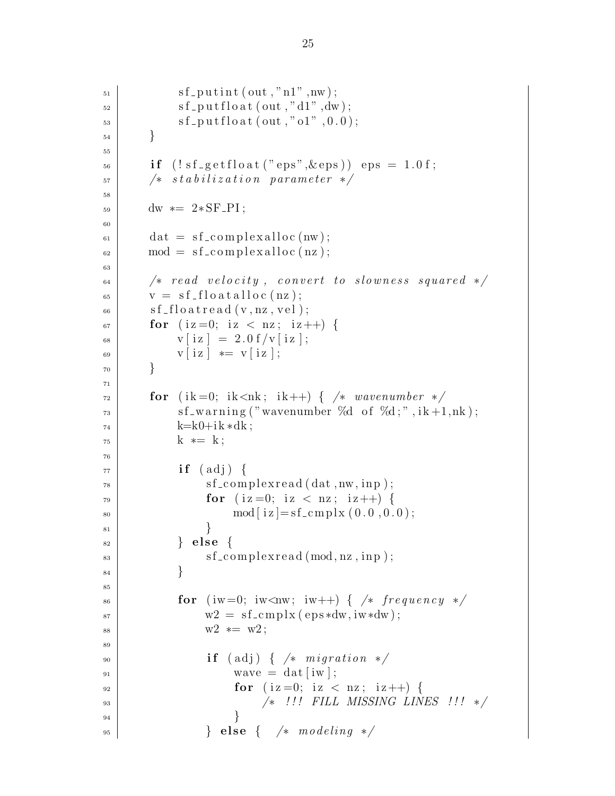```
\text{sf} \text{-}\text{putint} \left( \text{out} \text{, "n1"}, \text{nw} \right);\text{sf\_putfloat}(\text{out}, "d1", dw);\{53\} sf_putfloat (out,"o1",0.0);
54 }
55
56 if (!sf\_getfloat("eps", \&eps)) eps = 1.0f;
57 \frac{1}{2} \frac{1}{2} \frac{s_{t} \sin \frac{1}{2} a_{t} \sin n \arctan \frac{1}{2}}{s_{t} \sin \frac{1}{2} a_{t} \sin n \arctan \frac{1}{2}}58
_{59} dw *= 2*SF_PI;60
_{61} dat = sf_complexalloc(nw);
\begin{array}{c} \text{62} \\ \text{63} \end{array} mod = sf_complexalloc(nz);
63
\begin{array}{c|c|c|c|c} \hline \end{array} /* read velocity, convert to slowness squared */
\sigma<sub>65</sub> \vert \qquad v = sf_f [ \vert o a t a l \vert o c (nz) ;
66 sf-floatread (v, nz, vel);
\sigma for (iz=0; iz < nz; iz++) {
68 v[i z] = 2.0 f/v[i z];\begin{array}{c|c|c|c|c} \n\hline\n\text{69} & \text{v} & \text{i z} & \text{*} = & \text{v} & \text{i z} \n\end{array}70 }
71
\sigma for (ik=0; ik<nk; ik++) { /* wavenumber */
\sigma_{\text{3}} sf_warning ("wavenumber %d of %d;", ik +1,nk);
k=k0+ik*dk;75 k * = k;
76
77 if (adj)<sup>78</sup> sf_complex read (dat, nw, inp);
\textbf{for} \ (\text{iz}=0; \text{iz} < \text{nz}; \text{iz}++)\text{mod} \, [\text{iz} ] = \text{sf\_cmp} \, \text{lx} \, (0.0, 0.0) ;81 }
\{82 \mid \} else {
\{s_3 \mid s_4 \in \text{complexread} \ (\text{mod}, \text{nz}, \text{inp}) \}84 }
85
\begin{array}{lll} 1.66 & \text{for} & \text{(iw=0; iw\textless\text{uw}; iw++)} \end{array} \begin{array}{lll} \end{array} /* \begin{array}{lll} \end{array} frequency */
87 \mid w2 = sf_cm plx (eps *dw, iw*dw);
88 w2 * = w2;
89
90 if (\text{adj}) { \neq migration \ast_{91} wave = dat [iw];
_{92} for (iz = 0; iz < nz; iz + +) {
93 | /* !!! FILL MISSING LINES !!! */
94 }
\left\{\n\begin{array}{ccc}\n\text{95} & \text{else}\n\end{array}\n\right.\n\left\{\n\begin{array}{ccc}\n\text{else}\n\end{array}\n\right.\n\left\{\n\begin{array}{ccc}\n\text{%} & \text{modeling} \end{array}\n\right.\n\left\{\n\begin{array}{ccc}\n\text{%} & \text{modeling} \end{array}\n\right.\n\left\{\n\begin{array}{ccc}\n\text{%} & \text{modeling} \end{array}\n\right.\n\left\{\n\begin{array}{ccc}\n\text{%} & \text{modeling} \end{array}\n\right.\n\left\{\n\begin{array}{ccc}\n\text
```